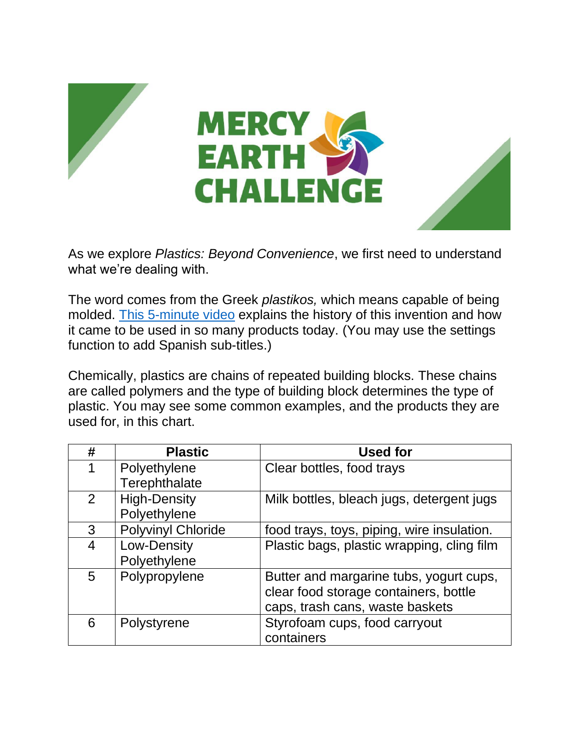

As we explore *Plastics: Beyond Convenience*, we first need to understand what we're dealing with.

The word comes from the Greek *plastikos,* which means capable of being molded. [This 5-minute video](https://www.youtube.com/watch?app=desktop&v=9GMbRG9CZJw) explains the history of this invention and how it came to be used in so many products today. (You may use the settings function to add Spanish sub-titles.)

Chemically, plastics are chains of repeated building blocks. These chains are called polymers and the type of building block determines the type of plastic. You may see some common examples, and the products they are used for, in this chart.

| #              | <b>Plastic</b>            | <b>Used for</b>                            |
|----------------|---------------------------|--------------------------------------------|
| 1              | Polyethylene              | Clear bottles, food trays                  |
|                | Terephthalate             |                                            |
| $\overline{2}$ | <b>High-Density</b>       | Milk bottles, bleach jugs, detergent jugs  |
|                | Polyethylene              |                                            |
| 3              | <b>Polyvinyl Chloride</b> | food trays, toys, piping, wire insulation. |
| 4              | Low-Density               | Plastic bags, plastic wrapping, cling film |
|                | Polyethylene              |                                            |
| 5              | Polypropylene             | Butter and margarine tubs, yogurt cups,    |
|                |                           | clear food storage containers, bottle      |
|                |                           | caps, trash cans, waste baskets            |
| 6              | Polystyrene               | Styrofoam cups, food carryout              |
|                |                           | containers                                 |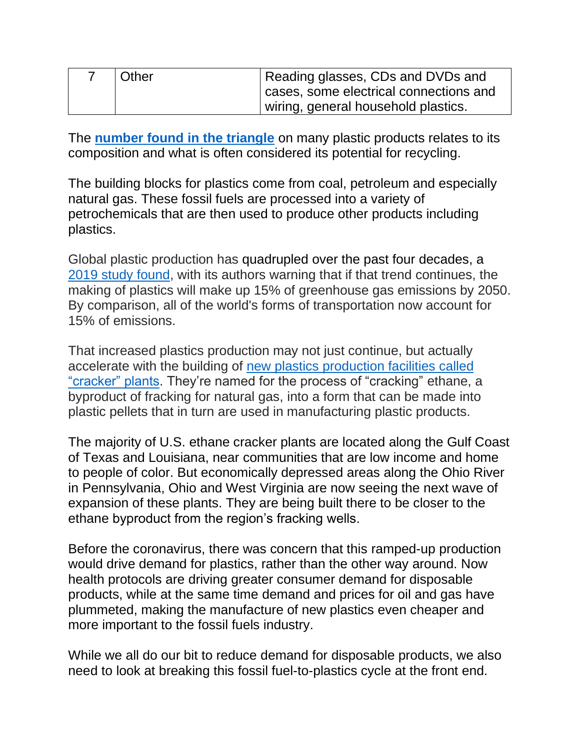| Other | Reading glasses, CDs and DVDs and        |
|-------|------------------------------------------|
|       | I cases, some electrical connections and |
|       | wiring, general household plastics.      |

The **[number found in the triangle](https://www.open.edu/openlearn/science-maths-technology/chemistry/the-seven-types-plastic)** on many plastic products relates to its composition and what is often considered its potential for recycling.

The building blocks for plastics come from coal, petroleum and especially natural gas. These fossil fuels are processed into a variety of petrochemicals that are then used to produce other products including plastics.

Global plastic production has quadrupled over the past four decades, a [2019 study found,](https://www.nature.com/articles/s41558-019-0459-z.epdf?sharing_token=RH5jUNss3zkivkKm8EDbe9RgN0jAjWel9jnR3ZoTv0OEP7gE1BUooTbqo1yGTdfY54cF4-r8nHcExBHZDCeb5kKZ8jb-QpPNNrsuDxDhAfdBuq2adeLIjPmpSjs0Zi2GCc9cRJq_ENoU44mog9JY0cHVkzWLeFEPxm8e0wyqEhw4njSU3rGiMOWlLs6ktJNDBfByyfgj92FP8VVBgNUe5ch8juMqtzLXK3q9JOtjMRu3MrNRxIVuUgvz0G5VpNt_hinTOINOCtiIF9pRVzTQ72hIym1Wny0kQoYPDcw_cPU%3D&tracking_referrer=www.cnn.com) with its authors warning that if that trend continues, the making of plastics will make up 15% of greenhouse gas emissions by 2050. By comparison, all of the world's forms of transportation now account for 15% of emissions.

That increased plastics production may not just continue, but actually accelerate with the building of [new plastics production facilities](https://www.momscleanairforce.org/ethane-cracker-plants/#:~:text=FRACKING%20FOR%20PLASTICS%20IN%20THE,additional%20two%20more%20by%202021.) called ["cracker" plants.](https://www.momscleanairforce.org/ethane-cracker-plants/#:~:text=FRACKING%20FOR%20PLASTICS%20IN%20THE,additional%20two%20more%20by%202021.) They're named for the process of "cracking" ethane, a byproduct of fracking for natural gas, into a form that can be made into plastic pellets that in turn are used in manufacturing plastic products.

The majority of U.S. ethane cracker plants are located along the Gulf Coast of Texas and Louisiana, near communities that are low income and home to people of color. But economically depressed areas along the Ohio River in Pennsylvania, Ohio and West Virginia are now seeing the next wave of expansion of these plants. They are being built there to be closer to the ethane byproduct from the region's fracking wells.

Before the coronavirus, there was concern that this ramped-up production would drive demand for plastics, rather than the other way around. Now health protocols are driving greater consumer demand for disposable products, while at the same time demand and prices for oil and gas have plummeted, making the manufacture of new plastics even cheaper and more important to the fossil fuels industry.

While we all do our bit to reduce demand for disposable products, we also need to look at breaking this fossil fuel-to-plastics cycle at the front end.